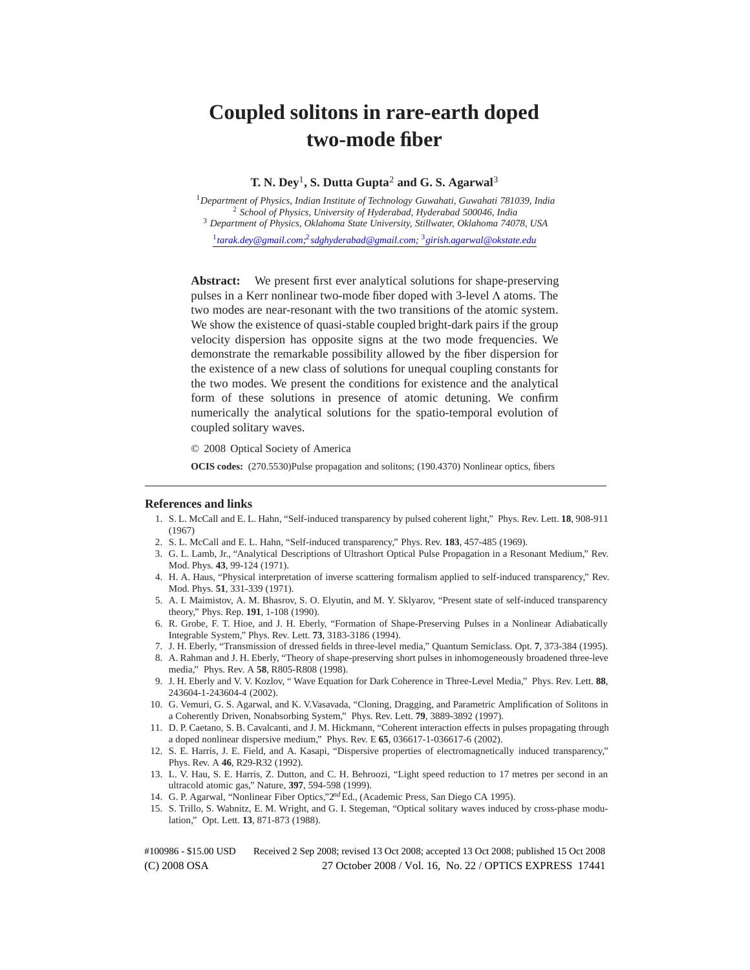# **Coupled solitons in rare-earth doped two-mode fiber**

# **T. N. Dey**1**, S. Dutta Gupta**<sup>2</sup> **and G. S. Agarwal**<sup>3</sup>

<sup>1</sup>*Department of Physics, Indian Institute of Technology Guwahati, Guwahati 781039, India* <sup>2</sup> *School of Physics, University of Hyderabad, Hyderabad 500046, India* <sup>3</sup> *Department of Physics, Oklahoma State University, Stillwater, Oklahoma 74078, USA*

<sup>1</sup>*tarak.dey@gmail.com;*<sup>2</sup> *sdghyderabad@gmail.com;* <sup>3</sup>*girish.agarwal@okstate.edu*

**Abstract:** We present first ever analytical solutions for shape-preserving pulses in a Kerr nonlinear two-mode fiber doped with 3-level Λ atoms. The two modes are near-resonant with the two transitions of the atomic system. We show the existence of quasi-stable coupled bright-dark pairs if the group velocity dispersion has opposite signs at the two mode frequencies. We demonstrate the remarkable possibility allowed by the fiber dispersion for the existence of a new class of solutions for unequal coupling constants for the two modes. We present the conditions for existence and the analytical form of these solutions in presence of atomic detuning. We confirm numerically the analytical solutions for the spatio-temporal evolution of coupled solitary waves.

© 2008 Optical Society of America

**OCIS codes:** (270.5530)Pulse propagation and solitons; (190.4370) Nonlinear optics, fibers

### **References and links**

- 1. S. L. McCall and E. L. Hahn, "Self-induced transparency by pulsed coherent light," Phys. Rev. Lett. **18**, 908-911 (1967)
- 2. S. L. McCall and E. L. Hahn, "Self-induced transparency," Phys. Rev. **183**, 457-485 (1969).
- 3. G. L. Lamb, Jr., "Analytical Descriptions of Ultrashort Optical Pulse Propagation in a Resonant Medium," Rev. Mod. Phys. **43**, 99-124 (1971).
- 4. H. A. Haus, "Physical interpretation of inverse scattering formalism applied to self-induced transparency," Rev. Mod. Phys. **51**, 331-339 (1971).
- 5. A. I. Maimistov, A. M. Bhasrov, S. O. Elyutin, and M. Y. Sklyarov, "Present state of self-induced transparency theory," Phys. Rep. **191**, 1-108 (1990).
- 6. R. Grobe, F. T. Hioe, and J. H. Eberly, "Formation of Shape-Preserving Pulses in a Nonlinear Adiabatically Integrable System," Phys. Rev. Lett. **73**, 3183-3186 (1994).
- 7. J. H. Eberly, "Transmission of dressed fields in three-level media," Quantum Semiclass. Opt. **7**, 373-384 (1995).
- 8. A. Rahman and J. H. Eberly, "Theory of shape-preserving short pulses in inhomogeneously broadened three-leve media," Phys. Rev. A **58**, R805-R808 (1998).
- 9. J. H. Eberly and V. V. Kozlov, " Wave Equation for Dark Coherence in Three-Level Media," Phys. Rev. Lett. **88**, 243604-1-243604-4 (2002).
- 10. G. Vemuri, G. S. Agarwal, and K. V.Vasavada, "Cloning, Dragging, and Parametric Amplification of Solitons in a Coherently Driven, Nonabsorbing System," Phys. Rev. Lett. **79**, 3889-3892 (1997).
- 11. D. P. Caetano, S. B. Cavalcanti, and J. M. Hickmann, "Coherent interaction effects in pulses propagating through a doped nonlinear dispersive medium," Phys. Rev. E **65**, 036617-1-036617-6 (2002).
- 12. S. E. Harris, J. E. Field, and A. Kasapi, "Dispersive properties of electromagnetically induced transparency," Phys. Rev. A **46**, R29-R32 (1992).
- 13. L. V. Hau, S. E. Harris, Z. Dutton, and C. H. Behroozi, "Light speed reduction to 17 metres per second in an ultracold atomic gas," Nature, **397**, 594-598 (1999).
- 14. G. P. Agarwal, "Nonlinear Fiber Optics,"2*nd*Ed., (Academic Press, San Diego CA 1995).
- 15. S. Trillo, S. Wabnitz, E. M. Wright, and G. I. Stegeman, "Optical solitary waves induced by cross-phase modulation," Opt. Lett. **13**, 871-873 (1988).

(C) 2008 OSA 27 October 2008 / Vol. 16, No. 22 / OPTICS EXPRESS 17441 #100986 - \$15.00 USD Received 2 Sep 2008; revised 13 Oct 2008; accepted 13 Oct 2008; published 15 Oct 2008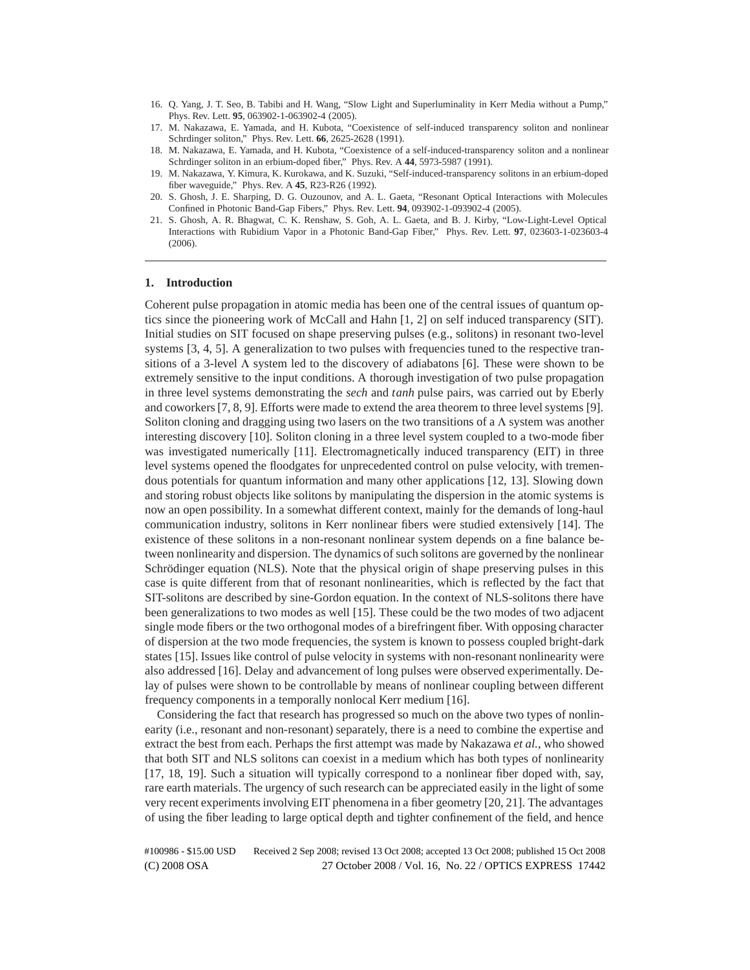- 16. Q. Yang, J. T. Seo, B. Tabibi and H. Wang, "Slow Light and Superluminality in Kerr Media without a Pump," Phys. Rev. Lett. **95**, 063902-1-063902-4 (2005).
- 17. M. Nakazawa, E. Yamada, and H. Kubota, "Coexistence of self-induced transparency soliton and nonlinear Schrdinger soliton," Phys. Rev. Lett. **66**, 2625-2628 (1991).
- 18. M. Nakazawa, E. Yamada, and H. Kubota, "Coexistence of a self-induced-transparency soliton and a nonlinear Schrdinger soliton in an erbium-doped fiber," Phys. Rev. A **44**, 5973-5987 (1991).
- 19. M. Nakazawa, Y. Kimura, K. Kurokawa, and K. Suzuki, "Self-induced-transparency solitons in an erbium-doped fiber waveguide," Phys. Rev. A **45**, R23-R26 (1992).
- 20. S. Ghosh, J. E. Sharping, D. G. Ouzounov, and A. L. Gaeta, "Resonant Optical Interactions with Molecules Confined in Photonic Band-Gap Fibers," Phys. Rev. Lett. **94**, 093902-1-093902-4 (2005).
- 21. S. Ghosh, A. R. Bhagwat, C. K. Renshaw, S. Goh, A. L. Gaeta, and B. J. Kirby, "Low-Light-Level Optical Interactions with Rubidium Vapor in a Photonic Band-Gap Fiber," Phys. Rev. Lett. **97**, 023603-1-023603-4 (2006).

## **1. Introduction**

Coherent pulse propagation in atomic media has been one of the central issues of quantum optics since the pioneering work of McCall and Hahn [1, 2] on self induced transparency (SIT). Initial studies on SIT focused on shape preserving pulses (e.g., solitons) in resonant two-level systems [3, 4, 5]. A generalization to two pulses with frequencies tuned to the respective transitions of a 3-level  $\Lambda$  system led to the discovery of adiabatons [6]. These were shown to be extremely sensitive to the input conditions. A thorough investigation of two pulse propagation in three level systems demonstrating the *sech* and *tanh* pulse pairs, was carried out by Eberly and coworkers [7, 8, 9]. Efforts were made to extend the area theorem to three level systems [9]. Soliton cloning and dragging using two lasers on the two transitions of a  $\Lambda$  system was another interesting discovery [10]. Soliton cloning in a three level system coupled to a two-mode fiber was investigated numerically [11]. Electromagnetically induced transparency (EIT) in three level systems opened the floodgates for unprecedented control on pulse velocity, with tremendous potentials for quantum information and many other applications [12, 13]. Slowing down and storing robust objects like solitons by manipulating the dispersion in the atomic systems is now an open possibility. In a somewhat different context, mainly for the demands of long-haul communication industry, solitons in Kerr nonlinear fibers were studied extensively [14]. The existence of these solitons in a non-resonant nonlinear system depends on a fine balance between nonlinearity and dispersion. The dynamics of such solitons are governed by the nonlinear Schrödinger equation (NLS). Note that the physical origin of shape preserving pulses in this case is quite different from that of resonant nonlinearities, which is reflected by the fact that SIT-solitons are described by sine-Gordon equation. In the context of NLS-solitons there have been generalizations to two modes as well [15]. These could be the two modes of two adjacent single mode fibers or the two orthogonal modes of a birefringent fiber. With opposing character of dispersion at the two mode frequencies, the system is known to possess coupled bright-dark states [15]. Issues like control of pulse velocity in systems with non-resonant nonlinearity were also addressed [16]. Delay and advancement of long pulses were observed experimentally. Delay of pulses were shown to be controllable by means of nonlinear coupling between different frequency components in a temporally nonlocal Kerr medium [16].

Considering the fact that research has progressed so much on the above two types of nonlinearity (i.e., resonant and non-resonant) separately, there is a need to combine the expertise and extract the best from each. Perhaps the first attempt was made by Nakazawa *et al.*, who showed that both SIT and NLS solitons can coexist in a medium which has both types of nonlinearity [17, 18, 19]. Such a situation will typically correspond to a nonlinear fiber doped with, say, rare earth materials. The urgency of such research can be appreciated easily in the light of some very recent experiments involving EIT phenomena in a fiber geometry [20, 21]. The advantages of using the fiber leading to large optical depth and tighter confinement of the field, and hence

(C) 2008 OSA 27 October 2008 / Vol. 16, No. 22 / OPTICS EXPRESS 17442 #100986 - \$15.00 USD Received 2 Sep 2008; revised 13 Oct 2008; accepted 13 Oct 2008; published 15 Oct 2008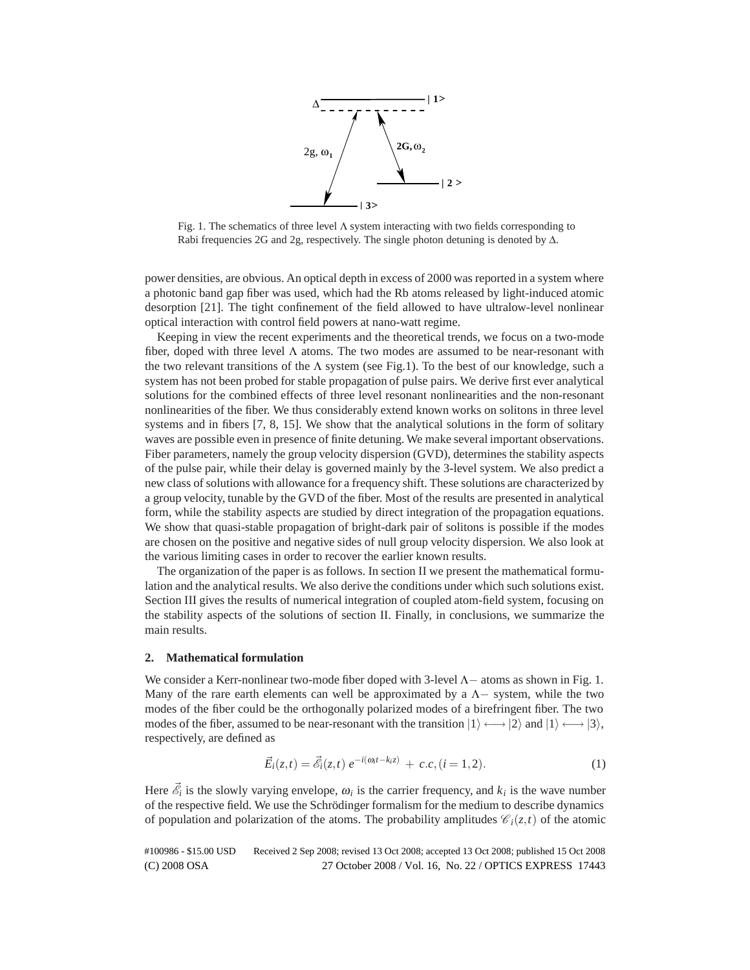

Fig. 1. The schematics of three level Λ system interacting with two fields corresponding to Rabi frequencies 2G and 2g, respectively. The single photon detuning is denoted by Δ.

power densities, are obvious. An optical depth in excess of 2000 was reported in a system where a photonic band gap fiber was used, which had the Rb atoms released by light-induced atomic desorption [21]. The tight confinement of the field allowed to have ultralow-level nonlinear optical interaction with control field powers at nano-watt regime.

Keeping in view the recent experiments and the theoretical trends, we focus on a two-mode fiber, doped with three level  $\Lambda$  atoms. The two modes are assumed to be near-resonant with the two relevant transitions of the  $\Lambda$  system (see Fig.1). To the best of our knowledge, such a system has not been probed for stable propagation of pulse pairs. We derive first ever analytical solutions for the combined effects of three level resonant nonlinearities and the non-resonant nonlinearities of the fiber. We thus considerably extend known works on solitons in three level systems and in fibers [7, 8, 15]. We show that the analytical solutions in the form of solitary waves are possible even in presence of finite detuning. We make several important observations. Fiber parameters, namely the group velocity dispersion (GVD), determines the stability aspects of the pulse pair, while their delay is governed mainly by the 3-level system. We also predict a new class of solutions with allowance for a frequency shift. These solutions are characterized by a group velocity, tunable by the GVD of the fiber. Most of the results are presented in analytical form, while the stability aspects are studied by direct integration of the propagation equations. We show that quasi-stable propagation of bright-dark pair of solitons is possible if the modes are chosen on the positive and negative sides of null group velocity dispersion. We also look at the various limiting cases in order to recover the earlier known results.

The organization of the paper is as follows. In section II we present the mathematical formulation and the analytical results. We also derive the conditions under which such solutions exist. Section III gives the results of numerical integration of coupled atom-field system, focusing on the stability aspects of the solutions of section II. Finally, in conclusions, we summarize the main results.

#### **2. Mathematical formulation**

We consider a Kerr-nonlinear two-mode fiber doped with 3-level Λ− atoms as shown in Fig. 1. Many of the rare earth elements can well be approximated by a  $\Lambda$  – system, while the two modes of the fiber could be the orthogonally polarized modes of a birefringent fiber. The two modes of the fiber, assumed to be near-resonant with the transition  $|1\rangle \leftrightarrow |2\rangle$  and  $|1\rangle \leftrightarrow |3\rangle$ , respectively, are defined as

$$
\vec{E}_i(z,t) = \vec{\mathcal{E}}_i(z,t) \; e^{-i(\omega_i t - k_i z)} + c.c, (i = 1,2). \tag{1}
$$

Here  $\vec{\mathcal{E}}_i$  is the slowly varying envelope,  $\omega_i$  is the carrier frequency, and  $k_i$  is the wave number of the respective field. We use the Schrödinger formalism for the medium to describe dynamics of population and polarization of the atoms. The probability amplitudes  $\mathcal{C}_i(z,t)$  of the atomic

(C) 2008 OSA 27 October 2008 / Vol. 16, No. 22 / OPTICS EXPRESS 17443 #100986 - \$15.00 USD Received 2 Sep 2008; revised 13 Oct 2008; accepted 13 Oct 2008; published 15 Oct 2008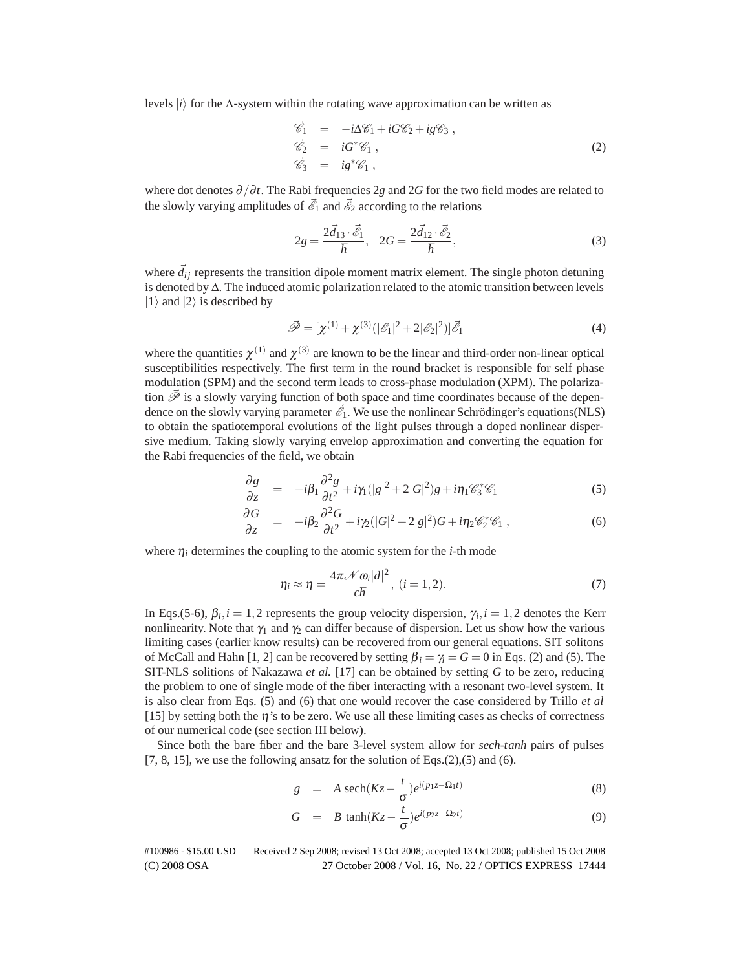levels  $|i\rangle$  for the  $\Lambda$ -system within the rotating wave approximation can be written as

$$
\begin{array}{rcl}\n\dot{\mathscr{C}}_1 & = & -i\Delta\mathscr{C}_1 + iG\mathscr{C}_2 + ig\mathscr{C}_3 \,, \\
\dot{\mathscr{C}}_2 & = & iG^*\mathscr{C}_1 \,, \\
\dot{\mathscr{C}}_3 & = & i\dot{g}^*\mathscr{C}_1 \,,\n\end{array} \tag{2}
$$

where dot denotes ∂/∂*t*. The Rabi frequencies 2*g* and 2*G* for the two field modes are related to the slowly varying amplitudes of  $\vec{\mathcal{E}}_1$  and  $\vec{\mathcal{E}}_2$  according to the relations

$$
2g = \frac{2\vec{d}_{13} \cdot \vec{\mathscr{E}}_1}{\hbar}, \quad 2G = \frac{2\vec{d}_{12} \cdot \vec{\mathscr{E}}_2}{\hbar}, \tag{3}
$$

where  $\vec{d}_{ij}$  represents the transition dipole moment matrix element. The single photon detuning is denoted by Δ. The induced atomic polarization related to the atomic transition between levels  $|1\rangle$  and  $|2\rangle$  is described by

$$
\vec{\mathscr{P}} = [\chi^{(1)} + \chi^{(3)} (|\mathscr{E}_1|^2 + 2|\mathscr{E}_2|^2)] \vec{\mathscr{E}}_1
$$
\n(4)

where the quantities  $\chi^{(1)}$  and  $\chi^{(3)}$  are known to be the linear and third-order non-linear optical susceptibilities respectively. The first term in the round bracket is responsible for self phase modulation (SPM) and the second term leads to cross-phase modulation (XPM). The polarization  $\mathscr{\vec{P}}$  is a slowly varying function of both space and time coordinates because of the dependence on the slowly varying parameter  $\vec{\mathcal{E}}_1$ . We use the nonlinear Schrödinger's equations(NLS) to obtain the spatiotemporal evolutions of the light pulses through a doped nonlinear dispersive medium. Taking slowly varying envelop approximation and converting the equation for the Rabi frequencies of the field, we obtain

$$
\frac{\partial g}{\partial z} = -i\beta_1 \frac{\partial^2 g}{\partial t^2} + i\gamma_1 (|g|^2 + 2|G|^2)g + i\eta_1 \mathcal{C}_3^* \mathcal{C}_1 \tag{5}
$$

$$
\frac{\partial G}{\partial z} = -i\beta_2 \frac{\partial^2 G}{\partial t^2} + i\gamma_2 (|G|^2 + 2|g|^2)G + i\eta_2 \mathcal{C}_2^* \mathcal{C}_1,
$$
\n(6)

where  $\eta_i$  determines the coupling to the atomic system for the *i*-th mode

$$
\eta_i \approx \eta = \frac{4\pi \mathcal{N}\omega_i |d|^2}{c\hbar}, \ (i = 1, 2). \tag{7}
$$

In Eqs.(5-6),  $\beta_i$ , *i* = 1,2 represents the group velocity dispersion,  $\gamma_i$ , *i* = 1,2 denotes the Kerr nonlinearity. Note that  $\gamma_1$  and  $\gamma_2$  can differ because of dispersion. Let us show how the various limiting cases (earlier know results) can be recovered from our general equations. SIT solitons of McCall and Hahn [1, 2] can be recovered by setting  $\beta_i = \gamma_i = G = 0$  in Eqs. (2) and (5). The SIT-NLS solitions of Nakazawa *et al.* [17] can be obtained by setting *G* to be zero, reducing the problem to one of single mode of the fiber interacting with a resonant two-level system. It is also clear from Eqs. (5) and (6) that one would recover the case considered by Trillo *et al* [15] by setting both the  $\eta$ 's to be zero. We use all these limiting cases as checks of correctness of our numerical code (see section III below).

Since both the bare fiber and the bare 3-level system allow for *sech*-*tanh* pairs of pulses  $[7, 8, 15]$ , we use the following ansatz for the solution of Eqs. $(2)$ , $(5)$  and  $(6)$ .

$$
g = A \operatorname{sech}(Kz - \frac{t}{\sigma})e^{i(p_1z - \Omega_1t)} \tag{8}
$$

$$
G = B \tanh(Kz - \frac{t}{\sigma})e^{i(p_2z - \Omega_2 t)}
$$
\n(9)

(C) 2008 OSA 27 October 2008 / Vol. 16, No. 22 / OPTICS EXPRESS 17444 #100986 - \$15.00 USD Received 2 Sep 2008; revised 13 Oct 2008; accepted 13 Oct 2008; published 15 Oct 2008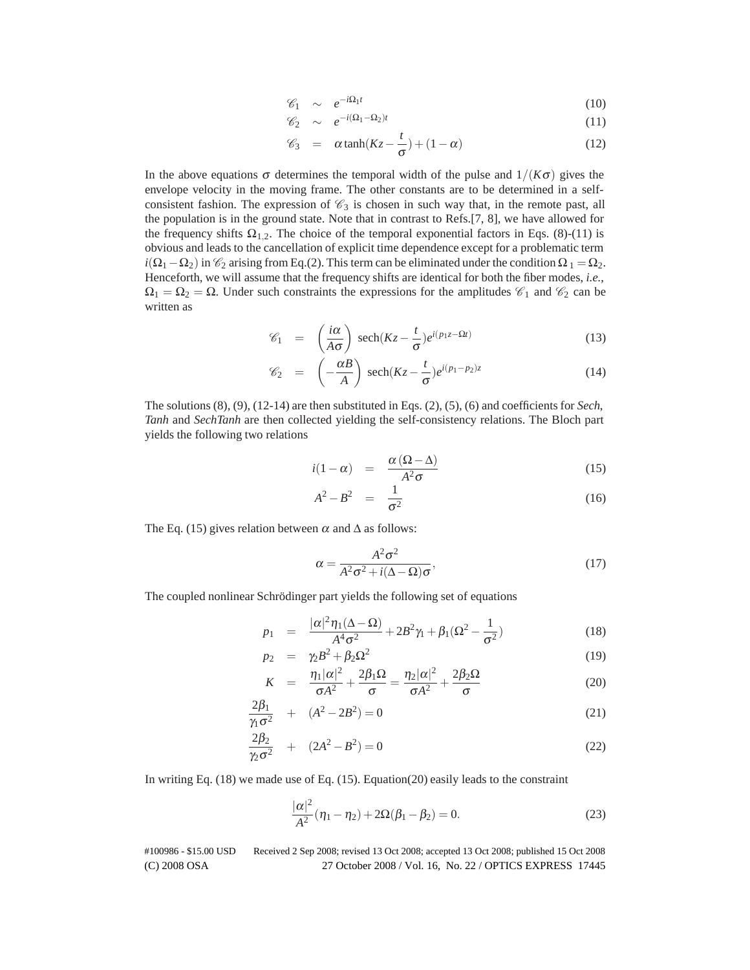$$
\mathscr{C}_1 \sim e^{-i\Omega_1 t} \tag{10}
$$

$$
\mathscr{C}_2 \sim e^{-i(\Omega_1 - \Omega_2)t} \tag{11}
$$

$$
\mathcal{C}_3 = \alpha \tanh(Kz - \frac{t}{\sigma}) + (1 - \alpha) \tag{12}
$$

In the above equations  $\sigma$  determines the temporal width of the pulse and  $1/(K\sigma)$  gives the envelope velocity in the moving frame. The other constants are to be determined in a selfconsistent fashion. The expression of  $\mathcal{C}_3$  is chosen in such way that, in the remote past, all the population is in the ground state. Note that in contrast to Refs.[7, 8], we have allowed for the frequency shifts  $\Omega_{1,2}$ . The choice of the temporal exponential factors in Eqs. (8)-(11) is obvious and leads to the cancellation of explicit time dependence except for a problematic term  $i(\Omega_1-\Omega_2)$  in  $\mathcal{C}_2$  arising from Eq.(2). This term can be eliminated under the condition  $\Omega_1 = \Omega_2$ . Henceforth, we will assume that the frequency shifts are identical for both the fiber modes, *i.e.*,  $\Omega_1 = \Omega_2 = \Omega$ . Under such constraints the expressions for the amplitudes  $\mathcal{C}_1$  and  $\mathcal{C}_2$  can be written as

$$
\mathscr{C}_1 = \left(\frac{i\alpha}{A\sigma}\right) \operatorname{sech}(Kz - \frac{t}{\sigma})e^{i(p_1z - \Omega t)} \tag{13}
$$

$$
\mathcal{C}_2 = \left(-\frac{\alpha B}{A}\right) \operatorname{sech}(Kz - \frac{t}{\sigma})e^{i(p_1 - p_2)z} \tag{14}
$$

The solutions (8), (9), (12-14) are then substituted in Eqs. (2), (5), (6) and coefficients for *Sech*, *Tanh* and *SechTanh* are then collected yielding the self-consistency relations. The Bloch part yields the following two relations

$$
i(1-\alpha) = \frac{\alpha(\Omega-\Delta)}{A^2\sigma} \tag{15}
$$

$$
A^2 - B^2 = \frac{1}{\sigma^2} \tag{16}
$$

The Eq. (15) gives relation between  $\alpha$  and  $\Delta$  as follows:

$$
\alpha = \frac{A^2 \sigma^2}{A^2 \sigma^2 + i(\Delta - \Omega)\sigma},\tag{17}
$$

The coupled nonlinear Schrödinger part yields the following set of equations

$$
p_1 = \frac{|\alpha|^2 \eta_1 (\Delta - \Omega)}{A^4 \sigma^2} + 2B^2 \gamma_1 + \beta_1 (\Omega^2 - \frac{1}{\sigma^2})
$$
\n(18)

$$
p_2 = \gamma_2 B^2 + \beta_2 \Omega^2 \tag{19}
$$

$$
K = \frac{\eta_1 |\alpha|^2}{\sigma A^2} + \frac{2\beta_1 \Omega}{\sigma} = \frac{\eta_2 |\alpha|^2}{\sigma A^2} + \frac{2\beta_2 \Omega}{\sigma}
$$
(20)

$$
\frac{2\beta_1}{\gamma_1 \sigma^2} + (A^2 - 2B^2) = 0 \tag{21}
$$

$$
\frac{2\beta_2}{\gamma_2 \sigma^2} + (2A^2 - B^2) = 0
$$
\n(22)

In writing Eq. (18) we made use of Eq. (15). Equation(20) easily leads to the constraint

$$
\frac{|\alpha|^2}{A^2}(\eta_1 - \eta_2) + 2\Omega(\beta_1 - \beta_2) = 0.
$$
 (23)

(C) 2008 OSA 27 October 2008 / Vol. 16, No. 22 / OPTICS EXPRESS 17445 #100986 - \$15.00 USD Received 2 Sep 2008; revised 13 Oct 2008; accepted 13 Oct 2008; published 15 Oct 2008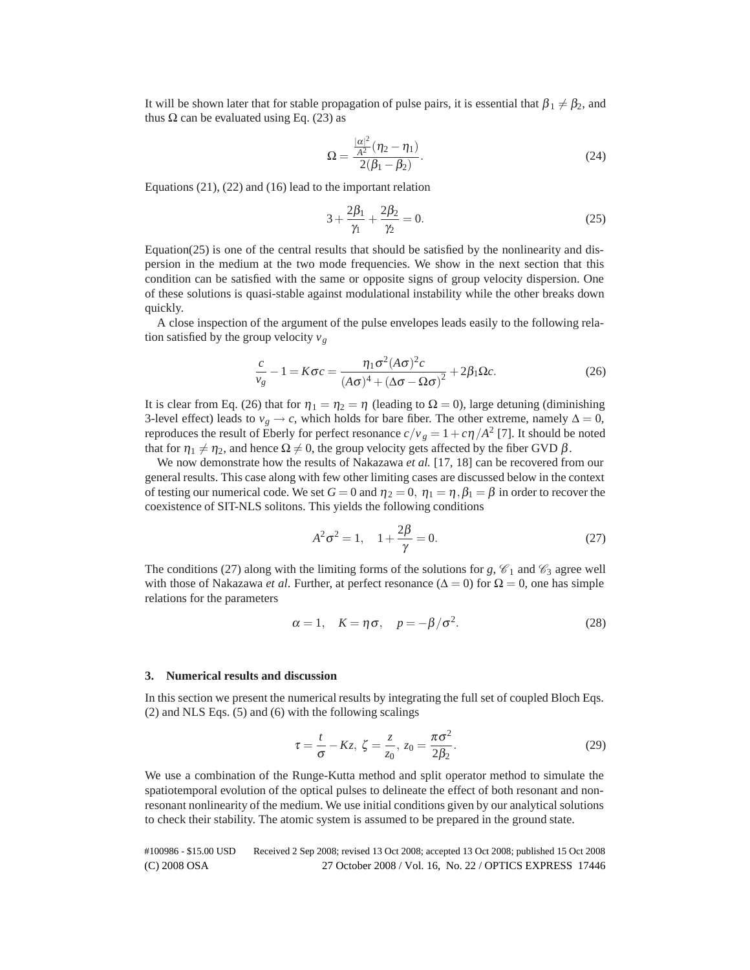It will be shown later that for stable propagation of pulse pairs, it is essential that  $\beta_1 \neq \beta_2$ , and thus  $Ω$  can be evaluated using Eq. (23) as

$$
\Omega = \frac{\frac{|\alpha|^2}{A^2}(\eta_2 - \eta_1)}{2(\beta_1 - \beta_2)}.
$$
\n(24)

Equations (21), (22) and (16) lead to the important relation

$$
3 + \frac{2\beta_1}{\gamma_1} + \frac{2\beta_2}{\gamma_2} = 0.
$$
 (25)

Equation(25) is one of the central results that should be satisfied by the nonlinearity and dispersion in the medium at the two mode frequencies. We show in the next section that this condition can be satisfied with the same or opposite signs of group velocity dispersion. One of these solutions is quasi-stable against modulational instability while the other breaks down quickly.

A close inspection of the argument of the pulse envelopes leads easily to the following relation satisfied by the group velocity  $v_g$ 

$$
\frac{c}{v_g} - 1 = K\sigma c = \frac{\eta_1 \sigma^2 (A\sigma)^2 c}{(A\sigma)^4 + (\Delta\sigma - \Omega\sigma)^2} + 2\beta_1 \Omega c.
$$
 (26)

It is clear from Eq. (26) that for  $\eta_1 = \eta_2 = \eta$  (leading to  $\Omega = 0$ ), large detuning (diminishing 3-level effect) leads to  $v_g \rightarrow c$ , which holds for bare fiber. The other extreme, namely  $\Delta = 0$ , reproduces the result of Eberly for perfect resonance  $c/v_g = 1+c\eta/A^2$  [7]. It should be noted that for  $\eta_1 \neq \eta_2$ , and hence  $\Omega \neq 0$ , the group velocity gets affected by the fiber GVD  $\beta$ .

We now demonstrate how the results of Nakazawa *et al.* [17, 18] can be recovered from our general results. This case along with few other limiting cases are discussed below in the context of testing our numerical code. We set  $G = 0$  and  $\eta_2 = 0$ ,  $\eta_1 = \eta$ ,  $\beta_1 = \beta$  in order to recover the coexistence of SIT-NLS solitons. This yields the following conditions

$$
A^{2}\sigma^{2} = 1, \quad 1 + \frac{2\beta}{\gamma} = 0.
$$
 (27)

The conditions (27) along with the limiting forms of the solutions for  $g, \mathcal{C}_1$  and  $\mathcal{C}_3$  agree well with those of Nakazawa *et al.* Further, at perfect resonance  $(\Delta = 0)$  for  $\Omega = 0$ , one has simple relations for the parameters

$$
\alpha = 1, \quad K = \eta \sigma, \quad p = -\beta/\sigma^2. \tag{28}
$$

#### **3. Numerical results and discussion**

In this section we present the numerical results by integrating the full set of coupled Bloch Eqs. (2) and NLS Eqs. (5) and (6) with the following scalings

$$
\tau = \frac{t}{\sigma} - Kz, \ \zeta = \frac{z}{z_0}, \ z_0 = \frac{\pi \sigma^2}{2\beta_2}.
$$

We use a combination of the Runge-Kutta method and split operator method to simulate the spatiotemporal evolution of the optical pulses to delineate the effect of both resonant and nonresonant nonlinearity of the medium. We use initial conditions given by our analytical solutions to check their stability. The atomic system is assumed to be prepared in the ground state.

(C) 2008 OSA 27 October 2008 / Vol. 16, No. 22 / OPTICS EXPRESS 17446 #100986 - \$15.00 USD Received 2 Sep 2008; revised 13 Oct 2008; accepted 13 Oct 2008; published 15 Oct 2008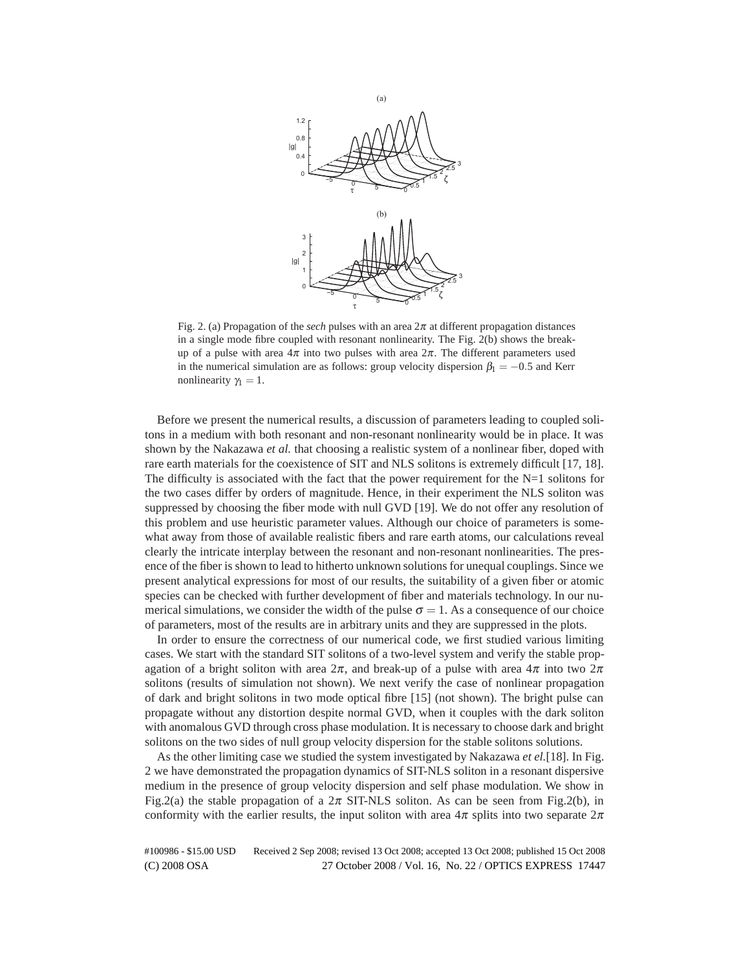

Fig. 2. (a) Propagation of the *sech* pulses with an area  $2\pi$  at different propagation distances in a single mode fibre coupled with resonant nonlinearity. The Fig. 2(b) shows the breakup of a pulse with area  $4\pi$  into two pulses with area  $2\pi$ . The different parameters used in the numerical simulation are as follows: group velocity dispersion  $\beta_1 = -0.5$  and Kerr nonlinearity  $\gamma_1 = 1$ .

Before we present the numerical results, a discussion of parameters leading to coupled solitons in a medium with both resonant and non-resonant nonlinearity would be in place. It was shown by the Nakazawa *et al.* that choosing a realistic system of a nonlinear fiber, doped with rare earth materials for the coexistence of SIT and NLS solitons is extremely difficult [17, 18]. The difficulty is associated with the fact that the power requirement for the  $N=1$  solitons for the two cases differ by orders of magnitude. Hence, in their experiment the NLS soliton was suppressed by choosing the fiber mode with null GVD [19]. We do not offer any resolution of this problem and use heuristic parameter values. Although our choice of parameters is somewhat away from those of available realistic fibers and rare earth atoms, our calculations reveal clearly the intricate interplay between the resonant and non-resonant nonlinearities. The presence of the fiber is shown to lead to hitherto unknown solutions for unequal couplings. Since we present analytical expressions for most of our results, the suitability of a given fiber or atomic species can be checked with further development of fiber and materials technology. In our numerical simulations, we consider the width of the pulse  $\sigma = 1$ . As a consequence of our choice of parameters, most of the results are in arbitrary units and they are suppressed in the plots.

In order to ensure the correctness of our numerical code, we first studied various limiting cases. We start with the standard SIT solitons of a two-level system and verify the stable propagation of a bright soliton with area  $2\pi$ , and break-up of a pulse with area  $4\pi$  into two  $2\pi$ solitons (results of simulation not shown). We next verify the case of nonlinear propagation of dark and bright solitons in two mode optical fibre [15] (not shown). The bright pulse can propagate without any distortion despite normal GVD, when it couples with the dark soliton with anomalous GVD through cross phase modulation. It is necessary to choose dark and bright solitons on the two sides of null group velocity dispersion for the stable solitons solutions.

As the other limiting case we studied the system investigated by Nakazawa *et el.*[18]. In Fig. 2 we have demonstrated the propagation dynamics of SIT-NLS soliton in a resonant dispersive medium in the presence of group velocity dispersion and self phase modulation. We show in Fig.2(a) the stable propagation of a  $2\pi$  SIT-NLS soliton. As can be seen from Fig.2(b), in conformity with the earlier results, the input soliton with area  $4\pi$  splits into two separate  $2\pi$ 

(C) 2008 OSA 27 October 2008 / Vol. 16, No. 22 / OPTICS EXPRESS 17447 #100986 - \$15.00 USD Received 2 Sep 2008; revised 13 Oct 2008; accepted 13 Oct 2008; published 15 Oct 2008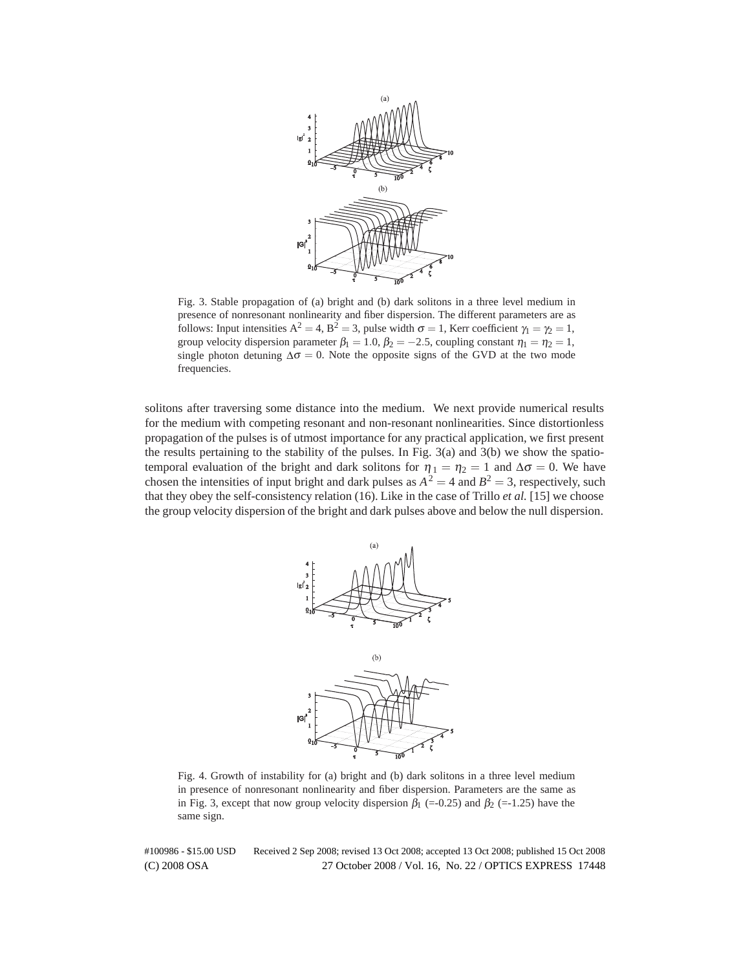

Fig. 3. Stable propagation of (a) bright and (b) dark solitons in a three level medium in presence of nonresonant nonlinearity and fiber dispersion. The different parameters are as follows: Input intensities  $A^2 = 4$ ,  $B^2 = 3$ , pulse width  $\sigma = 1$ , Kerr coefficient  $\gamma_1 = \gamma_2 = 1$ , group velocity dispersion parameter  $\beta_1 = 1.0$ ,  $\beta_2 = -2.5$ , coupling constant  $\eta_1 = \eta_2 = 1$ , single photon detuning  $\Delta \sigma = 0$ . Note the opposite signs of the GVD at the two mode frequencies.

solitons after traversing some distance into the medium. We next provide numerical results for the medium with competing resonant and non-resonant nonlinearities. Since distortionless propagation of the pulses is of utmost importance for any practical application, we first present the results pertaining to the stability of the pulses. In Fig.  $3(a)$  and  $3(b)$  we show the spatiotemporal evaluation of the bright and dark solitons for  $\eta_1 = \eta_2 = 1$  and  $\Delta \sigma = 0$ . We have chosen the intensities of input bright and dark pulses as  $A^2 = 4$  and  $B^2 = 3$ , respectively, such that they obey the self-consistency relation (16). Like in the case of Trillo *et al.* [15] we choose the group velocity dispersion of the bright and dark pulses above and below the null dispersion.



Fig. 4. Growth of instability for (a) bright and (b) dark solitons in a three level medium in presence of nonresonant nonlinearity and fiber dispersion. Parameters are the same as in Fig. 3, except that now group velocity dispersion  $\beta_1$  (=-0.25) and  $\beta_2$  (=-1.25) have the same sign.

(C) 2008 OSA 27 October 2008 / Vol. 16, No. 22 / OPTICS EXPRESS 17448 #100986 - \$15.00 USD Received 2 Sep 2008; revised 13 Oct 2008; accepted 13 Oct 2008; published 15 Oct 2008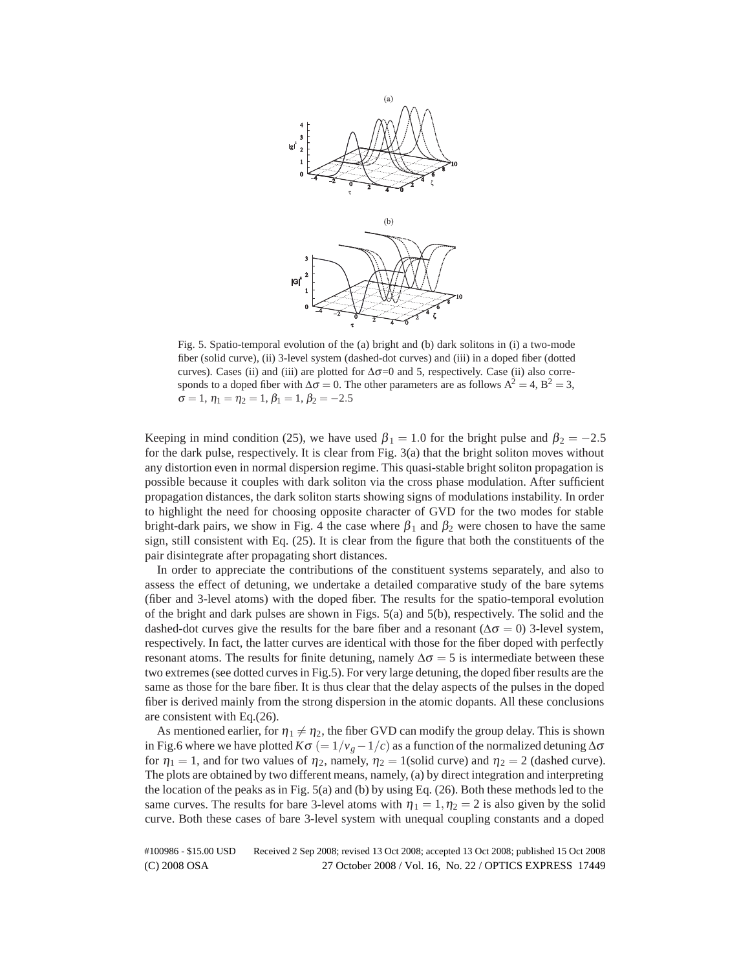

Fig. 5. Spatio-temporal evolution of the (a) bright and (b) dark solitons in (i) a two-mode fiber (solid curve), (ii) 3-level system (dashed-dot curves) and (iii) in a doped fiber (dotted curves). Cases (ii) and (iii) are plotted for  $\Delta \sigma = 0$  and 5, respectively. Case (ii) also corresponds to a doped fiber with  $\Delta \sigma = 0$ . The other parameters are as follows  $A^2 = 4$ ,  $B^2 = 3$ ,  $\sigma = 1$ ,  $\eta_1 = \eta_2 = 1$ ,  $\beta_1 = 1$ ,  $\beta_2 = -2.5$ 

Keeping in mind condition (25), we have used  $\beta_1 = 1.0$  for the bright pulse and  $\beta_2 = -2.5$ for the dark pulse, respectively. It is clear from Fig. 3(a) that the bright soliton moves without any distortion even in normal dispersion regime. This quasi-stable bright soliton propagation is possible because it couples with dark soliton via the cross phase modulation. After sufficient propagation distances, the dark soliton starts showing signs of modulations instability. In order to highlight the need for choosing opposite character of GVD for the two modes for stable bright-dark pairs, we show in Fig. 4 the case where  $\beta_1$  and  $\beta_2$  were chosen to have the same sign, still consistent with Eq. (25). It is clear from the figure that both the constituents of the pair disintegrate after propagating short distances.

In order to appreciate the contributions of the constituent systems separately, and also to assess the effect of detuning, we undertake a detailed comparative study of the bare sytems (fiber and 3-level atoms) with the doped fiber. The results for the spatio-temporal evolution of the bright and dark pulses are shown in Figs. 5(a) and 5(b), respectively. The solid and the dashed-dot curves give the results for the bare fiber and a resonant ( $\Delta \sigma = 0$ ) 3-level system, respectively. In fact, the latter curves are identical with those for the fiber doped with perfectly resonant atoms. The results for finite detuning, namely  $\Delta \sigma = 5$  is intermediate between these two extremes (see dotted curves in Fig.5). For very large detuning, the doped fiber results are the same as those for the bare fiber. It is thus clear that the delay aspects of the pulses in the doped fiber is derived mainly from the strong dispersion in the atomic dopants. All these conclusions are consistent with Eq.(26).

As mentioned earlier, for  $\eta_1 \neq \eta_2$ , the fiber GVD can modify the group delay. This is shown in Fig.6 where we have plotted  $K\sigma (= 1/v_g-1/c)$  as a function of the normalized detuning  $\Delta\sigma$ for  $\eta_1 = 1$ , and for two values of  $\eta_2$ , namely,  $\eta_2 = 1$ (solid curve) and  $\eta_2 = 2$  (dashed curve). The plots are obtained by two different means, namely, (a) by direct integration and interpreting the location of the peaks as in Fig. 5(a) and (b) by using Eq. (26). Both these methods led to the same curves. The results for bare 3-level atoms with  $\eta_1 = 1, \eta_2 = 2$  is also given by the solid curve. Both these cases of bare 3-level system with unequal coupling constants and a doped

(C) 2008 OSA 27 October 2008 / Vol. 16, No. 22 / OPTICS EXPRESS 17449 #100986 - \$15.00 USD Received 2 Sep 2008; revised 13 Oct 2008; accepted 13 Oct 2008; published 15 Oct 2008